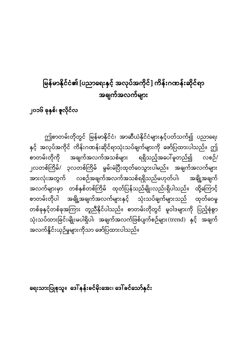# မြန်မာနိုင်ငံ၏ [ပညာရေးနှင့် အလုပ်အကိုင်] ကိန်းဂဏန်းဆိုင်ရာ အချက်အလက်များ

၂၀၁၆ ခု<mark>နှစ်၊ ဇူလို</mark>င်လ

ဤစာတမ်းတိုတွင် မြန်မာနိုင်ငံ၊ အာဆီယံနိုင်ငံများနှင့်ပတ်သက်၍ ပညာရေး နှင့် အလုပ်အကိုင် ကိန်းဂဏန်းဆိုင်ရာသုံးသပ်ချက်များကို ဖော်ပြထားပါသည်။ ဤ စာတမ်းတိုကို အချက်အလက်အသစ်များ ရရှိသည့်အပေါ်မူတည်၍ လစဉ်/ ၂လတစ်ကြိမ်/ ၃လတစ်ကြိမ် မွမ်းမံပြီးထုတ်ဝေသွားပါမည်။ အချက်အလက်များ အားလုံးအတွက် လစဉ်အချက်အလက်အသစ်ရရှိသည်မဟုတ်ပါ၊ အချို့အချက် အလက်များမှာ တစ်နှစ်တစ်ကြိမ် ထုတ်ပြန်သည်မျိုးလည်းရှိပါသည်။ ထို့ကြောင့် စာတမ်းတိုပါ အချို့အချက်အလက်များနှင့် သုံးသပ်ချက်များသည် ထုတ်ဝေမှု တစ်ခုနှင့်တစ်ခုအကြား တူညီနိုင်ပါသည်။ စာတမ်းတိုတွင် မူဝါဒများကို ပြည့်စုံစွာ သုံးသပ်ထားခြင်းမျိုးမပါရှိပါ၊ အချက်အလက်ဖြစ်ပျက်စဉ်များ(trend) နှင့် အချက် အလက်နှိုင်းယှဉ်မှုများကိုသာ ဖော်ပြထားပါသည်။

ရေးသားပြုစုသူ။ ဒေါ်နန်းခင်မိုးအေး၊ ဒေါ်ခင်သော်နှင်း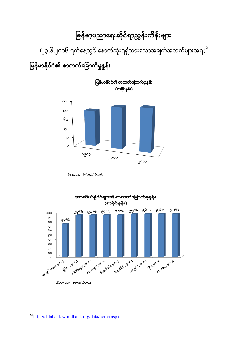#### မြန်မာ့ပညာရေးဆိုင်ရာညွှန်းကိန်းများ ĺ

(၂၃.၆.၂၀၁၆ ရက်နေ့တွင် နောက်ဆုံးရရှိထားသောအချက်အလက်များအရ $\big)^{\circ}$ 

မြန်မာနိုင်ငံ၏ စာတတ်မြောက်မှုနှုန်း ĺ



Source: World bank



Source: World bank

1

<sup>&</sup>lt;sup>o</sup>"<http://databank.worldbank.org/data/home.aspx>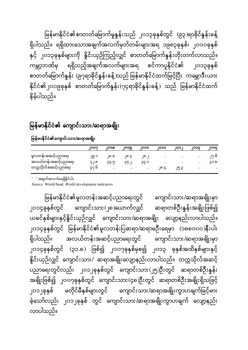မြန်မာနိုင်ငံ၏စာတတ်မြောက်မှုနူန်းသည် ၂၀၁၃ခုနှစ်တွင် (၉၃)ရာခိုင်နူန်းခန့် ရှိပါသည်။ ရရှိထားသောအချက်အလက်မှတ်တမ်းများအရ ၁၉၈၃ခုနှစ်၊ ၂၀၀၀ခုနှစ် နှင့် ၂၀၁၃ခုနှစ်များကို နိူင်းယှဉ်ကြည့်လျှင် စာတတ်မြောက်နူန်းတိုးတက်လာသည်။ ကမ္ဘာ့ဘဏ်မှ ရရှိသည့်အချက်အလက်များအရ စင်ကာပူနိုင်ငံ၏ ၂၀၁၃ခုနှစ် စာတတ်မြောက်နှုန်း (၉၇ရာခိုင်နှုန်းခန့်)သည် မြန်မာနိုင်ငံထက်မြင့်ပြီး ကမ္ဘောဒီးယား နိုင်ငံ၏၂၀၀၉ခုနှစ် စာတတ်မြောက်နူန်း(၇၄ရာခိုင်နူန်းခန့်) သည် မြန်မာနိုင်ငံထက် နိမ့်ပါသည်။

### မြန်မာနိုင်ငံ၏ ကျောင်းသား/ဆရာအချိုး

|                      | 100C | ୲୦୦ର      | ျပၥ၉      | 1000      | ၊၀၁၁      | ျပၥ       | ၊ဝ၁၁      | IOOC      |
|----------------------|------|-----------|-----------|-----------|-----------|-----------|-----------|-----------|
| မူလတန်းအဆင့်ပညာရေး   | ၂၉.၁ | ၂၀.၈      | ၂၈.၄      | ၈.        | $\cdots$  | $\ddotsc$ | $\cdots$  | ى.10      |
| အလယ်တန်းအဆင့်ပညာရေး  | ၃၂.၈ | ၃၄.၅      | 55.5      | C.QÇ      | $\ddotsc$ | $\ddotsc$ | $\ddotsc$ | ၁၁.၈      |
| တက္ကသိုလ်အဆင့်ပညာရေး | ၄၇.၆ | $\ddotsc$ | $\ddotsc$ | $\ddotsc$ | ၊၈.၄      | ၂၅.၃      | $\ddotsc$ | $\ddotsc$ |

#### မြန်မာနိုင်ငံ၏ကျောင်းသား/ဆရာအချိုး

" .." အချက်အလက်မရရှိနိုင်ပါ။

Source: World bank, World development indicators

မြန်မာနိုင်ငံ၏မူလတန်းအဆင့်ပညာရေးတွင် ကျောင်းသား/ဆရာအချိုးမှာ ၂၀၁၄ခုနှစ်တွင် ကျောင်းသား(၂၈)ယောက်လျှင် ဆရာတစ်ဦးနူန်းအချိုးဖြစ်၍ ယခင်နှစ်များနှင့်နိူင်းယှဉ်လျှင် ကျောင်းသား/ဆရာအချိုး လျော့နည်းလာပါသည်။ ၂၀၁၄ခုနှစ်တွင် မြန်မာနိုင်ငံ၏မူလတန်းပြဆရာ/ဆရာမဦးရေမှာ (၁၈၈၀၀၀)နီးပါး ရှိပါသည်။ အလယ်တန်းအဆင့်ပညာရေးတွင် ကျောင်းသား/ဆရာအချိုးမှာ ၂၀၁၄ခုနှစ်တွင် (၃၁.၈) ဖြစ်၍ ၂၀၀၇ခုနှစ်မှစ၍ ၂၀၁၃ ခုနှစ်အထိနှစ်များနှင့် နိူင်းယှဉ်လျှင် ကျောင်းသား/ ဆရာအချိုးလျော့နည်းလာပါသည်။ တက္ကသိုလ်အဆင့် ပညာရေးတွင်လည်း ၂၀၁၂ခုနှစ်တွင် ကျောင်းသား(၂၅)ဦးတွင် ဆရာတစ်ဦးနှုန်း အချိုးဖြစ်၍ ၂၀၀၇ခုနှစ်တွင် ကျောင်းသား(၄၈)ဦးတွင် ဆရာတစ်ဦးအချိုးရှိသဖြင့် ၂၀၁၂ခုနှစ် မတိုင်မီနှစ်များတွင် ကျောင်းသား/ဆရာအချိုးကွာဟချက်မြင့်မား ခဲ့သော်လည်း ၂၀၁၂ခုနှစ် တွင် ကျောင်းသား/ဆရာအချိုးကွာဟချက် လျော့နည်း လာပါသည်။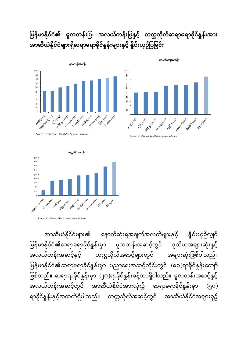မြန်မာနိုင်ငံ၏ မူလတန်းပြ၊ အလယ်တန်းပြနှင့် တက္ကသိုလ်ဆရာမရာခိုင်နှုန်းအား အာဆီယံနိုင်ငံများရှိဆရာမရာခိုင်နှုန်းများနှင့် နိူင်းယှဉ်ပြခြင်း





*Source:* World *bank, World development indicator*

အလယ်တန်းအဆင့်

Source: World bank, World development indic





အာဆီယံနိုင်ငံများ၏ နောက်ဆုံးရအချက်အလက်များနှင့် နိူင်းယှဉ်လျှင် မြန်မာနိုင်ငံ၏ဆရာမရာခိုင်နှုန်းမှာ မူလတန်းအဆင့်တွင် ဒုတိယအများဆုံးနှင့် ĺ အလယ်တန်းအဆင့်နှင့် တက္ကသိုလ်အဆင့်များတွင် အများဆုံးဖြစ်ပါသည်။ မြန်မာနိုင်ငံ၏ဆရာမရာခိုင်နှုန်းမှာ ပညာရေးအဆင့်တိုင်းတွင် (၈၀)ရာခိုင်နှုန်းကျော် ဖြစ်သည်။ ဆရာရာခိုင်နှုန်းမှာ (၂၀)ရာခိုင်နှုန်းခန့်သာရှိပါသည်။ မူလတန်းအဆင့်နှင့် အလယ်တန်းအဆင့်တွင် အာဆီယံနိုင်ငံအားလုံး၌ ဆရာမရာခိုင်နှုန်းမှာ (၅၀) ရာခိုင်နှန်းနှင့်အထက်ရှိပါသည်။ တက္ကသိုလ်အဆင့်တွင် အာဆီယံနိုင်ငံအများစု၌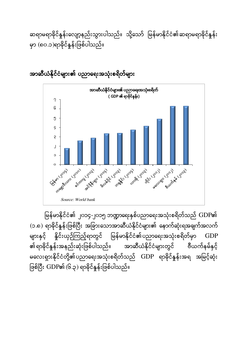မြန်မာနိုင်ငံ၏ ၂၀၁၄-၂၀၁၅ ဘဏ္ဍာရေးနှစ်ပညာရေးအသုံးစရိတ်သည် GDP၏ (၁.၈) ရာခိုင်နှုန်းဖြစ်ပြီး အခြားသောအာဆီယံနိုင်ငံများ၏ နောက်ဆုံးရအချက်အလက် များနှင့် နိူင်းယှဉ်ကြည့်ရာတွင် မြန်မာနိုင်ငံ၏ပညာရေးအသုံးစရိတ်မှာ GDP ၏ရာခိုင်နှုန်းအနည်းဆုံးဖြစ်ပါသည်။ အာဆီယံနိုင်ငံများတွင် ဗီယက်နမ်နှင့် မလေးရှားနိုင်ငံတို့၏ပညာရေးအသုံးစရိတ်သည်  $\operatorname{GDP}$  ရာခိုင်နှုန်းအရ အမြင့်ဆုံး ဖြစ်ပြီး GDP၏ (၆.၃) ရာခိုင်နှုန်းဖြစ်ပါသည်။



အာဆီယံနိုင်ငံများ၏ ပညာရေးအသုံးစရိတ်များ

ဆရာမရာခိုင်နှုန်းလျော့နည်းသွားပါသည်။ သို့သော် မြန်မာနိုင်ငံ၏ဆရာမရာခိုင်နှုန်း မှာ (၈၀.၁)ရာခိုင်နှုန်းဖြစ်ပါသည်။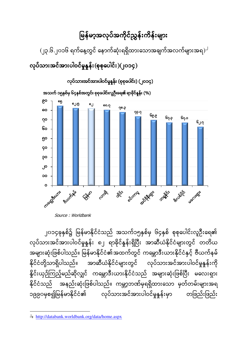#### မြန်မာ့အလုပ်အကိုင်ညွှန်းကိန်းများ I

 $\mathcal{L}(\mathcal{G})$ ုပါတွင် ရက်နေ့တွင် နောက်ဆုံးရရှိထားသောအချက်အလက်များအရ $\mathcal{G}^{\mathcal{G}}$ 

လုပ်သားအင်အားပါဝင်မှုနှုန်း(စုစုပေါင်း)(၂၀၁၄)



Source : Worldbank

၂၀၁၄ခုနှစ်၌ မြန်မာနိုင်ငံသည် အသက်၁၅နှစ်မှ ၆၄နှစ် စုစုပေါင်းလူဦးရေ၏ လုပ်သားအင်အားပါဝင်မှုနှုန်း ၈၂ ရာခိုင်နှုန်းရှိပြီး အာဆီယံနိုင်ငံများတွင် တတိယ အများဆုံးဖြစ်ပါသည်။ မြန်မာနိုင်ငံ၏အထက်တွင် ကမ္ဘောဒီးယားနိုင်ငံနှင့် ဗီယက်နမ် နိုင်ငံတို့သာရှိပါသည်။ အာဆီယံနိုင်ငံများတွင် လုပ်သားအင်အားပါဝင်မှုနူန်းကို နိူင်းယှဉ်ကြည့်မည်ဆိုလျှင် ကမ္ဘောဒီးယားနိုင်ငံသည် အများဆုံးဖြစ်ပြီး မလေးရှား နိုင်ငံသည် အနည်းဆုံးဖြစ်ပါသည်။ ကမ္ဘာ့ဘဏ်မှရရှိထားသော မှတ်တမ်းများအရ ၁၉၉၀မှစ၍မြန်မာနိုင်ငံ၏ လုပ်သားအင်အားပါဝင်မှုနူန်းမှာ တဖြည်းဖြည်း

1

၂ <http://databank.worldbank.org/data/home.aspx>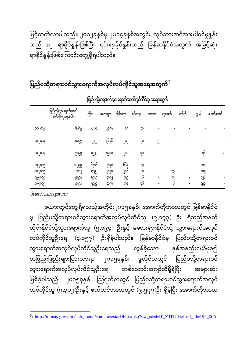မြင့်တက်လာပါသည်။ ၂၀၁၂ခုနှစ်မှ ၂၀၁၄ခုနှစ်အတွင်း လုပ်သားအင်အားပါဝင်မှုနူန်း သည် ၈၂ ရာခိုင်နူန်းဖြစ်ပြီး ၎င်းရာခိုင်နူန်းသည် မြန်မာနိုင်ငံအတွက် အမြင့်ဆုံး ရာခိုင်နှန်းဖြစ်ကြောင်းတွေ့ရှိရပါသည်။

#### ပြည်ပသို့တရားဝင်သွားရောက်အလုပ်လုပ်ကိုင်သူအရေအတွက်<sup>ဂို</sup> ĺ

|         | ပြည်ပသို့သွားရောက်အလုပ်<br>လုပ်ကိုင်သူ စုစုပေါင်း | ထိုင်း | မလေးရှား    | ကိုရီးယား | စင်ကာပူ | ကာတာ                     | <u> ೧೧೮೩೦</u> | ကူဝိတ်                   | ဂျပနဲ           | ယောင်ကောင် |
|---------|---------------------------------------------------|--------|-------------|-----------|---------|--------------------------|---------------|--------------------------|-----------------|------------|
| ၁၀-၂၀၁၂ | ၆၆၅၉                                              | ၄၂၇၆   | <b>JR97</b> | ၁၅        | ၁၁      |                          |               |                          |                 |            |
| ၁၀-၂၀၁၃ | ၈၀၉၅                                              | JJJJ   | ၅၆၃၆        | ၂၁၂       | ၂၀      | ၅                        |               |                          |                 |            |
| ၁၀-၂၀၁၄ | ၅၈၉၉                                              | ၁၅၂၇   | ၃၉၈၀        | ၂၁၈       | QÇ      |                          |               |                          | ၁၃၆             | 0          |
| ၀၇-၂၀၁၅ | ၁၀၂၉၉                                             | ၆၃၀၆   | 5066        | ဖြေ၉      | ၁၃      | ٠                        |               |                          | ၁၁၇             |            |
| ၀၈-၂၀၁၅ | <b>SSC</b>                                        | 97CJ   | ၂၁၇၈        | ၂၀၆       | 0       | $\overline{\phantom{a}}$ | ၁၁            | $\overline{\phantom{a}}$ | ၁၀၅             |            |
| ၀၉-၂၀၁၅ | C <sub>0</sub>                                    | 9097   | gooj        | දු        | ၂၆      | $\overline{\phantom{a}}$ | ၁၉            | $\overline{\phantom{a}}$ | $\sim$<br>فار 3 |            |
| ၁၀-၂၀၁၅ | <b>6773</b>                                       | 9969   | ၄၁၅၇        | ၁၇၆       | ç၆      |                          | G             |                          | ၁၉၃             | ٠          |

### ကြာပည့်တရားဝင်ဘားရောက်အလုပ်တွင်ကိုင်သူ အရေအတွက်

Source : mmsis.gov.mm

1

ယေားတွင်တွေ့ရှိရသည့်အတိုင်း၂၀၁၅ခုနှစ်၊ အောက်တိုဘာလတွင် မြန်မာနိုင်ငံ မှ ပြည်ပသို့တရားဝင်သွားရောက်အလုပ်လုပ်ကိုင်သူ (၉,၇၇၃) ဦး ရှိသည့်အနက် ထိုင်းနိုင်ငံသို့သွားရောက်သူ (၅,၁၉၄) ဦးနှင့် မလေးရှားနိုင်ငံသို့ သွားရောက်အလုပ် လုပ်ကိုင်သူဦးရေ (၄,၁၅၇) ဦးရှိခဲ့ပါသည်။ မြန်မာနိုင်ငံမှ ပြည်ပသို့တရားဝင် သွားရောက်အလုပ်လုပ်ကိုင်သူဦးရေသည် လွန်ခဲ့သော နှစ်အနည်းငယ်မှစ၍ တဖြည်းဖြည်းများပြားလာရာ ၂၀၁၅ခုနှစ်၊ ဇူလိုင်လတွင် ပြည်ပသို့တရားဝင် သွားရောက်အလုပ်လုပ်ကိုင်သူဦးရေ တစ်သောင်းကျော်ထိရှိခဲ့ပြီး အများဆုံး ဖြစ်ခဲ့ပါသည်။ ၂၀၁၅ခုနှစ်၊ သြဂုတ်လတွင် ပြည်ပသို့တရားဝင်သွားရောက်အလုပ် လုပ်ကိုင်သူ (၇,၃၀၂)ဦးနှင့် စက်တင်ဘာလတွင် (၉,၅၇၇)ဦး ရှိခဲ့ပြီး အောက်တိုဘာလ

 [http://mmsis.gov.mm/sub\\_menu/statistics/statDbList.jsp?vw\\_cd=MT\\_ZTITLE&self\\_id=195\\_006](http://mmsis.gov.mm/sub_menu/statistics/statDbList.jsp?vw_cd=MT_ZTITLE&self_id=195_006)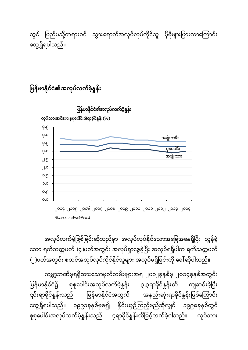ကမ္ဘာ့ဘဏ်မှရရှိထားသောမှတ်တမ်းများအရ ၂၀၁၂ခုနှစ်မှ ၂၀၁၄ခုနှစ်အတွင်း မြန်မာနိုင်ငံ၌ စုစုပေါင်းအလုပ်လက်မဲ့နှုန်း ၃.၃ရာခိုင်နှုန်းထိ ကျဆင်းခဲ့ပြီး ၎င်းရာခိုင်နှုန်းသည် မြန်မာနိုင်ငံအတွက် အနည်းဆုံးရာခိုင်နှုန်းဖြစ်ကြောင်း တွေ့ရှိရပါသည်။ ၁၉၉၁ခုနှစ်မှစ၍ နိူင်းယှဉ်ကြည့်မည်ဆိုလျှင် ၁၉၉၈ခုနှစ်တွင် စုစုပေါင်းအလုပ်လက်မဲ့နူန်းသည် ၄ရာခိုင်နူန်းထိမြှင့်တက်ခဲ့ပါသည်။ လုပ်သား

အလုပ်လက်မဲ့ဖြစ်ခြင်းဆိုသည်မှာ အလုပ်လုပ်နိုင်သောအခြေအနေရှိပြီး လွန်ခဲ့ သော ရက်သတ္တပတ် (၄)ပတ်အတွင်း အလုပ်ရှာဖွေခဲ့ပြီး အလုပ်ရရှိပါက ရက်သတ္တပတ် (၂)ပတ်အတွင်း စတင်အလုပ်လုပ်ကိုင်နိုင်သူများ အလုပ်မရှိခြင်းကို ခေါ်ဆိုပါသည်။



မြန်မာနိုင်ငံ၏အလုပ်လက်မဲ့နှုန်း ĺ

တွင် ပြည်ပသို့တရားဝင် သွားရောက်အလုပ်လုပ်ကိုင်သူ ပိုမိုများပြားလာကြောင်း တွေ့ရှိရပါသည်။